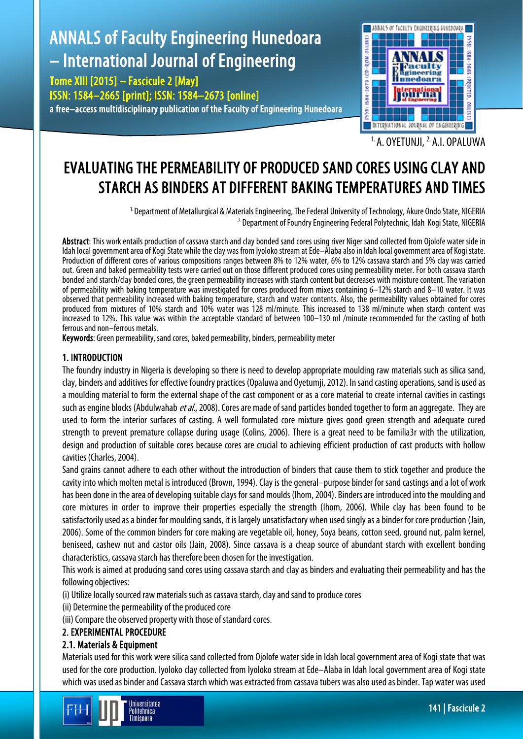# ANNALS of Faculty Engineering Hunedoara – International Journal of Engineering

Tome XIII [2015] – Fascicule 2 [May]

ISSN: 1584–2665 [print]; ISSN: 1584–2673 [online] a free–access multidisciplinary publication of the Faculty of Engineering Hunedoara



1. A. OYETUNJI, 2. A.I. OPALUWA

## EVALUATING THE PERMEABILITY OF PRODUCED SAND CORES USING CLAY AND STARCH AS BINDERS AT DIFFERENT BAKING TEMPERATURES AND TIMES

 $^{1}$  Department of Metallurgical & Materials Engineering, The Federal University of Technology, Akure Ondo State, NIGERIA <sup>2</sup> Department of Foundry Engineering Federal Polytechnic, Idah Kogi State, NIGERIA

Abstract: This work entails production of cassava starch and clay bonded sand cores using river Niger sand collected from Ojolofe water side in Idah local government area of Kogi State while the clay was from Iyoloko stream at Ede–Alaba also in Idah local government area of Kogi state. Production of different cores of various compositions ranges between 8% to 12% water, 6% to 12% cassava starch and 5% clay was carried out. Green and baked permeability tests were carried out on those different produced cores using permeability meter. For both cassava starch bonded and starch/clay bonded cores, the green permeability increases with starch content butdecreases with moisture content. The variation of permeability with baking temperature was investigated for cores produced from mixes containing 6–12% starch and 8–10 water. It was observed that permeability increased with baking temperature, starch and water contents. Also, the permeability values obtained for cores produced from mixtures of 10% starch and 10% water was 128 ml/minute. This increased to 138 ml/minute when starch content was increased to 12%. This value was within the acceptable standard of between 100–130 ml /minute recommended for the casting of both ferrous and non–ferrous metals.

Keywords: Green permeability, sand cores, baked permeability, binders, permeability meter

## 1. INTRODUCTION

The foundry industry in Nigeria is developing so there is need to develop appropriate moulding raw materials such as silica sand, clay, binders and additives for effective foundry practices (Opaluwa and Oyetumji, 2012). In sand casting operations, sand isused as a moulding material to form the external shape of the cast component or as a core material to create internal cavities in castings such as engine blocks (Abdulwahab et al., 2008). Cores are made of sand particles bonded together to form an aggregate. They are used to form the interior surfaces of casting. A well formulated core mixture gives good green strength and adequate cured strength to prevent premature collapse during usage (Colins, 2006). There is a great need to be familia3r with the utilization, design and production of suitable cores because cores are crucial to achieving efficient production of cast products with hollow cavities (Charles, 2004).

Sand grains cannot adhere to each other without the introduction of binders that cause them to stick together and produce the cavity into which molten metal is introduced (Brown, 1994). Clay is the general–purpose binder for sand castings and a lot of work has been done in the area of developing suitable clays for sand moulds (Ihom, 2004). Binders are introduced into the moulding and core mixtures in order to improve their properties especially the strength (Ihom, 2006). While clay has been found to be satisfactorily used as a binder for moulding sands, it is largely unsatisfactory when used singly as a binder for core production (Jain, 2006). Some of the common binders for core making are vegetable oil, honey, Soya beans, cotton seed, ground nut, palm kernel, beniseed, cashew nut and castor oils (Jain, 2008). Since cassava is a cheap source of abundant starch with excellent bonding characteristics, cassava starch has therefore been chosen for the investigation.

This work is aimed at producing sand cores using cassava starch and clay as binders and evaluating their permeability and has the following objectives:

(i) Utilize locally sourced raw materials such as cassava starch, clay and sand to produce cores

(ii) Determine the permeability of the produced core

(iii) Compare the observed property with those of standard cores.

## 2. EXPERIMENTAL PROCEDURE

## 2.1. Materials & Equipment

Materials used for this work were silica sand collected from Ojolofe water side in Idah local government area of Kogi state that was used for the core production. Iyoloko clay collected from Iyoloko stream at Ede–Alaba in Idah local government area of Kogi state which was used asbinder and Cassava starch which was extracted from cassava tubers was also used as binder. Tap water was used

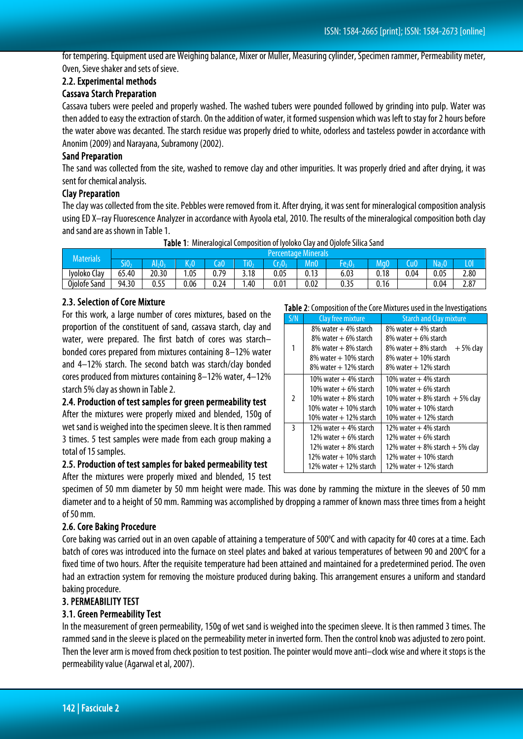for tempering. Equipment used are Weighing balance, Mixer or Muller, Measuring cylinder, Specimen rammer, Permeability meter, Oven, Sieve shaker and sets of sieve.

### 2.2. Experimental methods

#### Cassava Starch Preparation

Cassava tubers were peeled and properly washed. The washed tubers were pounded followed by grinding into pulp. Water was then added to easy the extraction of starch. On the addition of water, it formed suspension which was left to stay for 2 hours before the water above was decanted. The starch residue was properly dried to white, odorless and tasteless powder in accordance with Anonim (2009) and Narayana, Subramony (2002).

#### Sand Preparation

The sand was collected from the site, washed to remove clay and other impurities. It was properly dried and after drying, it was sent for chemical analysis.

#### Clay Preparation

The clay was collected from the site. Pebbles were removed from it. After drying, it was sent for mineralogical composition analysis using ED X–ray Fluorescence Analyzer in accordance with Ayoola etal, 2010. The results of the mineralogical composition both clay and sand are as shown in Table 1.

|  |  |  |  |  | Table 1: Mineralogical Composition of Iyoloko Clay and Ojolofe Silica Sand |
|--|--|--|--|--|----------------------------------------------------------------------------|
|--|--|--|--|--|----------------------------------------------------------------------------|

| Materials    | <b>Percentage Minerals</b> |                             |         |      |      |      |      |         |      |      |      |      |
|--------------|----------------------------|-----------------------------|---------|------|------|------|------|---------|------|------|------|------|
|              |                            | $\mathsf{I}_2 \mathsf{0}_1$ | $K_2$ O | CaO  | HV,  |      | Mn0  | $+e_20$ | MaO  |      |      | LOV  |
| Iyoloko Clay | 65.40                      | 20.30                       | .05     | 0.79 | 3.18 | 0.05 | 0.13 | 6.03    | 0.18 | 0.04 | 0.05 | 2.80 |
| Ojolofe Sand | 94.30                      | 0.55                        | 0.06    | 0.24 | 1.40 | 0.01 | 0.02 | 0.35    | 0.16 |      | 0.04 | 2.87 |
|              |                            |                             |         |      |      |      |      |         |      |      |      |      |

#### 2.3. Selection of Core Mixture

For this work, a large number of cores mixtures, based on the proportion of the constituent of sand, cassava starch, clay and water, were prepared. The first batch of cores was starch– bonded cores prepared from mixtures containing 8–12% water and 4–12% starch. The second batch was starch/clay bonded cores produced from mixtures containing 8–12% water, 4–12% starch 5% clay as shown in Table 2.

#### 2.4. Production of test samples for green permeability test

After the mixtures were properly mixed and blended, 150g of wet sand is weighed into the specimen sleeve. It is then rammed 3 times. 5 test samples were made from each group making a total of 15 samples.

#### 2.5. Production of test samples for baked permeability test

After the mixtures were properly mixed and blended, 15 test

specimen of 50 mm diameter by 50 mm height were made. This was done by ramming the mixture in the sleeves of 50 mm diameter and to a height of 50 mm. Ramming was accomplished by dropping a rammer of known mass three times from a height of 50 mm.

#### 2.6. Core Baking Procedure

Core baking was carried out in an oven capable of attaining a temperature of 500°C and with capacity for 40 cores at a time. Each batch of cores was introduced into the furnace on steel plates and baked at various temperatures of between 90 and 200°C for a fixed time of two hours. After the requisite temperature had been attained and maintained for a predetermined period. The oven had an extraction system for removing the moisture produced during baking. This arrangement ensures a uniform and standard baking procedure.

#### 3. PERMEABILITY TEST

#### 3.1. Green Permeability Test

In the measurement of green permeability, 150g of wet sand is weighed into the specimen sleeve. It is then rammed 3 times. The rammed sand in the sleeve is placed on the permeability meter in inverted form. Then the control knob was adjusted to zero point. Then the lever arm is moved from check position to test position. The pointer would move anti–clock wise and where it stops is the permeability value (Agarwal et al, 2007).

|  |  |  |  | Table 2: Composition of the Core Mixtures used in the Investigations |  |
|--|--|--|--|----------------------------------------------------------------------|--|
|  |  |  |  |                                                                      |  |

| S/N            | Clay free mixture          | <b>Starch and Clay mixture</b>        |  |  |  |  |
|----------------|----------------------------|---------------------------------------|--|--|--|--|
|                | $8\%$ water $+4\%$ starch  | $8\%$ water $+4\%$ starch             |  |  |  |  |
|                | $8\%$ water $+6\%$ starch  | $8\%$ water $+6\%$ starch             |  |  |  |  |
| 1              | $8\%$ water $+8\%$ starch  | $8\%$ water $+8\%$ starch<br>+5% clay |  |  |  |  |
|                | $8\%$ water $+10\%$ starch | $8\%$ water $+10\%$ starch            |  |  |  |  |
|                | $8\%$ water $+12\%$ starch | $8\%$ water $+12\%$ starch            |  |  |  |  |
|                | 10% water $+4\%$ starch    | 10% water $+$ 4% starch               |  |  |  |  |
|                | 10% water $+$ 6% starch    | 10% water $+$ 6% starch               |  |  |  |  |
| $\overline{2}$ | 10% water $+$ 8% starch    | 10% water $+$ 8% starch $+$ 5% clay   |  |  |  |  |
|                | 10% water + 10% starch     | 10% water + 10% starch                |  |  |  |  |
|                | 10% water + 12% starch     | $10\%$ water $+12\%$ starch           |  |  |  |  |
| 3              | 12% water $+4%$ starch     | 12% water + 4% starch                 |  |  |  |  |
|                | 12% water $+6\%$ starch    | 12% water $+$ 6% starch               |  |  |  |  |
|                | 12% water $+$ 8% starch    | 12% water $+8\%$ starch $+5\%$ clay   |  |  |  |  |
|                | 12% water $+$ 10% starch   | 12% water $+$ 10% starch              |  |  |  |  |
|                | 12% water + 12% starch     | 12% water + 12% starch                |  |  |  |  |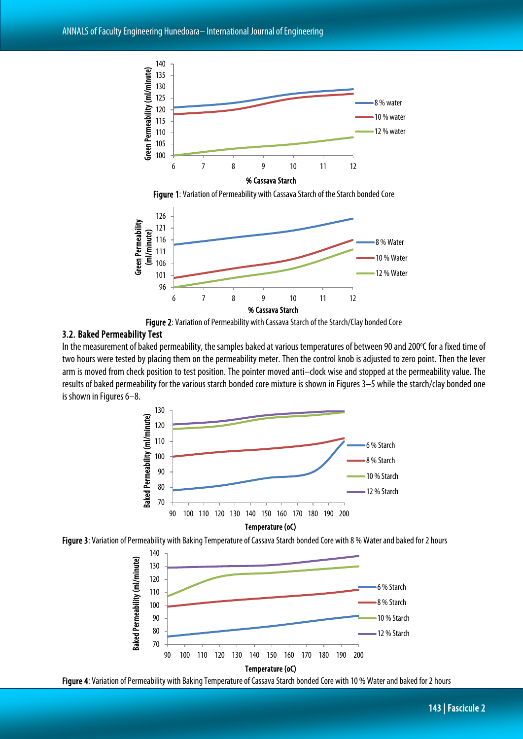

Figure 1: Variation of Permeability with Cassava Starch of the Starch bonded Core



Figure 2: Variation of Permeability with Cassava Starch of the Starch/Clay bonded Core

#### 3.2. Baked Permeability Test

In the measurement of baked permeability, the samples baked at various temperatures of between 90 and 200°C for a fixed time of two hours were tested by placing them on the permeability meter. Then the control knob is adjusted to zero point. Then the lever arm is moved from check position to test position. The pointer moved anti–clock wise and stopped at the permeability value. The results of baked permeability for the various starch bonded core mixture is shown in Figures 3–5 while the starch/clay bonded one is shown in Figures 6–8.







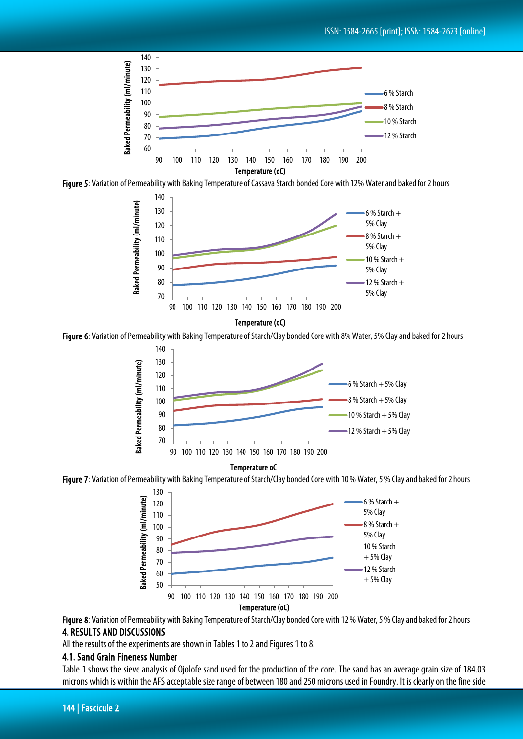

Figure 5: Variation of Permeability with Baking Temperature of Cassava Starch bonded Core with 12% Water and baked for 2 hours



#### Temperature (oC)

Figure 6: Variation of Permeability with Baking Temperature of Starch/Clay bonded Core with 8% Water, 5% Clay and baked for 2 hours



#### Temperature oC





Figure 8: Variation of Permeability with Baking Temperature of Starch/Clay bonded Core with 12 % Water, 5 % Clay and baked for 2 hours 4. RESULTS AND DISCUSSIONS

All the results of the experiments are shown in Tables 1 to 2 and Figures 1 to 8.

#### 4.1. Sand Grain Fineness Number

Table 1 shows the sieve analysis of Ojolofe sand used for the production of the core. The sand has an average grain size of 184.03 microns which is within the AFS acceptable size range of between 180 and 250 microns used in Foundry. It is clearly on the fine side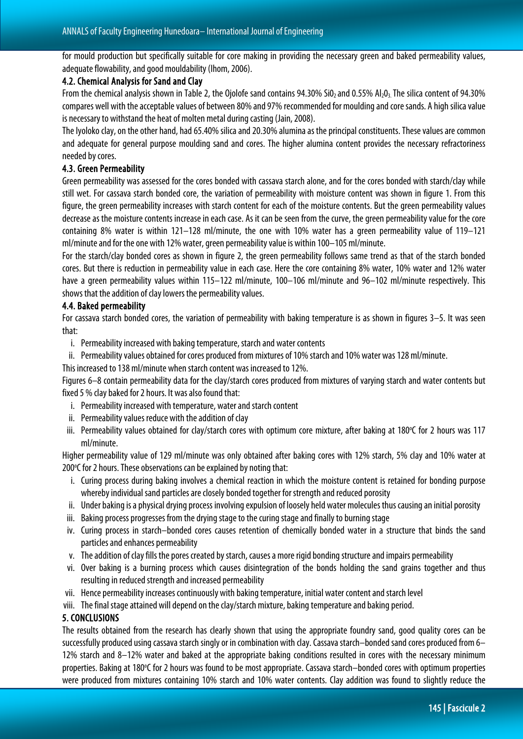for mould production but specifically suitable for core making in providing the necessary green and baked permeability values, adequate flowability, and good mouldability (Ihom, 2006).

#### 4.2. Chemical Analysis for Sand and Clay

From the chemical analysis shown in Table 2, the Oiolofe sand contains 94.30% SiO<sub>2</sub> and 0.55% Al<sub>2</sub>0<sub>3</sub>. The silica content of 94.30% compares well with the acceptable values of between 80% and 97% recommended for moulding and core sands. A high silica value is necessary to withstand the heat of molten metal during casting (Jain, 2008).

The Iyoloko clay, on the other hand, had 65.40% silica and 20.30% alumina as the principal constituents. These values are common and adequate for general purpose moulding sand and cores. The higher alumina content provides the necessary refractoriness needed by cores.

#### 4.3. Green Permeability

Green permeability was assessed for the cores bonded with cassava starch alone, and for the cores bonded with starch/clay while still wet. For cassava starch bonded core, the variation of permeability with moisture content was shown in figure 1. From this figure, the green permeability increases with starch content for each of the moisture contents. But the green permeability values decrease as the moisture contents increase in each case. As it can be seen from the curve, the green permeability value for the core containing 8% water is within 121–128 ml/minute, the one with 10% water has a green permeability value of 119–121 ml/minute and for the one with 12% water, green permeability value is within 100–105 ml/minute.

For the starch/clay bonded cores as shown in figure 2, the green permeability follows same trend as that of the starch bonded cores. But there is reduction in permeability value in each case. Here the core containing 8% water, 10% water and 12% water have a green permeability values within 115–122 ml/minute, 100–106 ml/minute and 96–102 ml/minute respectively. This shows that the addition of clay lowers the permeability values.

#### 4.4. Baked permeability

For cassava starch bonded cores, the variation of permeability with baking temperature is as shown in figures 3–5. It was seen that:

- i. Permeability increased with baking temperature, starch and water contents
- ii. Permeability values obtained for cores produced from mixtures of 10% starch and 10% water was 128 ml/minute.

This increased to 138 ml/minute when starch content was increased to 12%.

Figures 6–8 contain permeability data for the clay/starch cores produced from mixtures of varying starch and water contents but fixed 5 % clay baked for 2 hours. It was also found that:

- i. Permeability increased with temperature, water and starch content
- ii. Permeability values reduce with the addition of clay
- iii. Permeability values obtained for clay/starch cores with optimum core mixture, after baking at 180°C for 2 hours was 117 ml/minute.

Higher permeability value of 129 ml/minute was only obtained after baking cores with 12% starch, 5% clay and 10% water at 200°C for 2 hours. These observations can be explained by noting that:

- i. Curing process during baking involves a chemical reaction in which the moisture content is retained for bonding purpose whereby individual sand particles are closely bonded together for strength and reduced porosity
- ii. Under baking is a physical drying process involving expulsion of loosely held water molecules thus causing an initial porosity
- iii. Baking process progresses from the drying stage to the curing stage and finally to burning stage
- iv. Curing process in starch–bonded cores causes retention of chemically bonded water in a structure that binds the sand particles and enhances permeability
- v. The addition of clay fills the pores created by starch, causes a more rigid bonding structure and impairs permeability
- vi. Over baking is a burning process which causes disintegration of the bonds holding the sand grains together and thus resulting in reduced strength and increased permeability
- vii. Hence permeability increases continuously with baking temperature, initial water content and starch level
- viii. The final stage attained will depend on the clay/starch mixture, baking temperature and baking period.

#### 5. CONCLUSIONS

The results obtained from the research has clearly shown that using the appropriate foundry sand, good quality cores can be successfully produced using cassava starch singly or in combination with clay. Cassava starch–bonded sand cores produced from 6– 12% starch and 8–12% water and baked at the appropriate baking conditions resulted in cores with the necessary minimum properties. Baking at 180°C for 2 hours was found to be most appropriate. Cassava starch–bonded cores with optimum properties were produced from mixtures containing 10% starch and 10% water contents. Clay addition was found to slightly reduce the